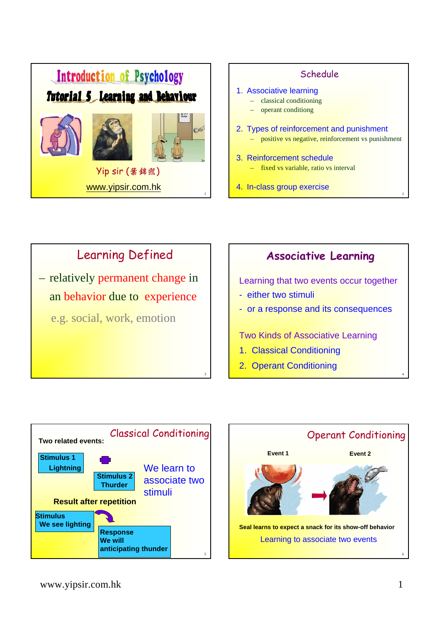







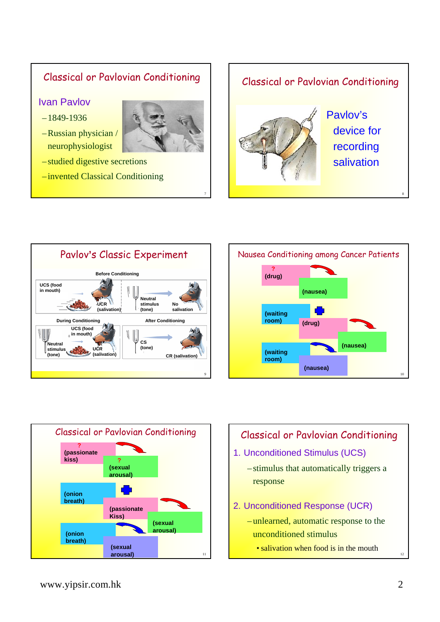#### Classical or Pavlovian Conditioning

Ivan Pavlov

- –1849-1936
- Russian physician / neurophysiologist



7

- studied digestive secretions
- invented Classical Conditioning









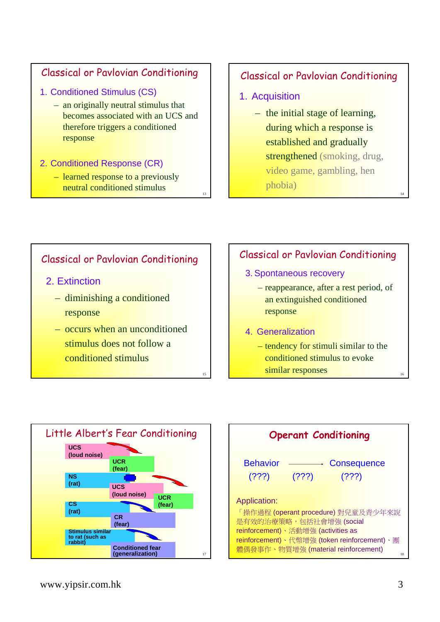## Classical or Pavlovian Conditioning

- 1. Conditioned Stimulus (CS)
	- an originally neutral stimulus that becomes associated with an UCS and therefore triggers a conditioned response

#### 2. Conditioned Response (CR)

– learned response to a previously neutral conditioned stimulus

## Classical or Pavlovian Conditioning

1. Acquisition

<sub>13</sub>

15

– the initial stage of learning, during which a response is established and gradually strengthened (smoking, drug, video game, gambling, hen phobia)

### Classical or Pavlovian Conditioning

- 2. Extinction
	- diminishing a conditioned response
	- occurs when an unconditioned stimulus does not follow a conditioned stimulus

## Classical or Pavlovian Conditioning

- 3. Spontaneous recovery
	- reappearance, after a rest period, of an extinguished conditioned response
- 4. Generalization
	- tendency for stimuli similar to the conditioned stimulus to evoke similar responses



| <b>Operant Conditioning</b>                 |             |  |
|---------------------------------------------|-------------|--|
|                                             |             |  |
| <b>Behavior</b>                             | Consequence |  |
| (?)?)<br>(?)?)                              | (???)       |  |
|                                             |             |  |
| Application:                                |             |  |
| 「操作過程 (operant procedure) 對兒童及青少年來說         |             |  |
| 是有效的治療策略,包括社會增強(social                      |             |  |
| reinforcement)、活動增強 (activities as          |             |  |
| reinforcement)、代幣增強 (token reinforcement)、團 |             |  |
| 體偶發事作、物質增強 (material reinforcement)<br>18   |             |  |

16